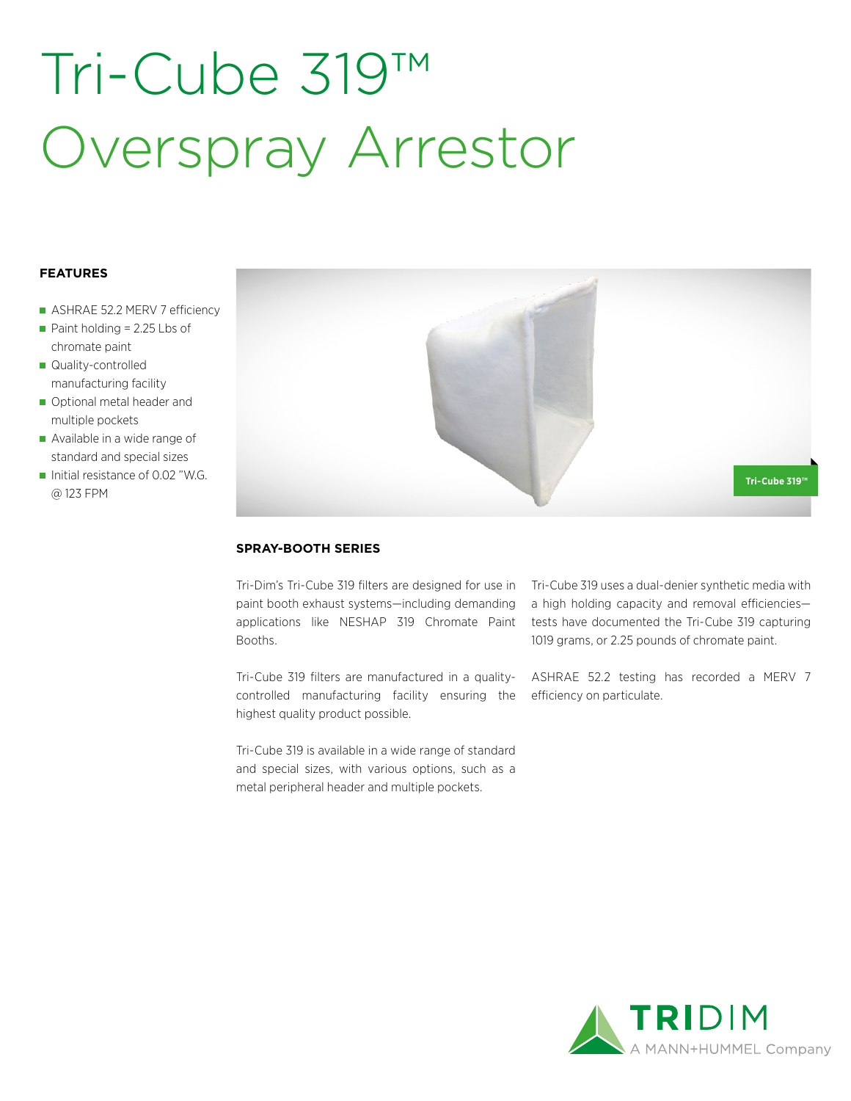# Tri-Cube 319™ Overspray Arrestor

### **FEATURES**

- ASHRAE 52.2 MERV 7 efficiency
- Paint holding = 2.25 Lbs of chromate paint
- Quality-controlled manufacturing facility
- Optional metal header and multiple pockets
- Available in a wide range of standard and special sizes
- Initial resistance of 0.02 "W.G. @ 123 FPM



### **SPRAY-BOOTH SERIES**

Tri-Dim's Tri-Cube 319 filters are designed for use in paint booth exhaust systems—including demanding applications like NESHAP 319 Chromate Paint Booths.

Tri-Cube 319 filters are manufactured in a qualitycontrolled manufacturing facility ensuring the highest quality product possible.

Tri-Cube 319 is available in a wide range of standard and special sizes, with various options, such as a metal peripheral header and multiple pockets.

Tri-Cube 319 uses a dual-denier synthetic media with a high holding capacity and removal efficiencies tests have documented the Tri-Cube 319 capturing 1019 grams, or 2.25 pounds of chromate paint.

ASHRAE 52.2 testing has recorded a MERV 7 efficiency on particulate.